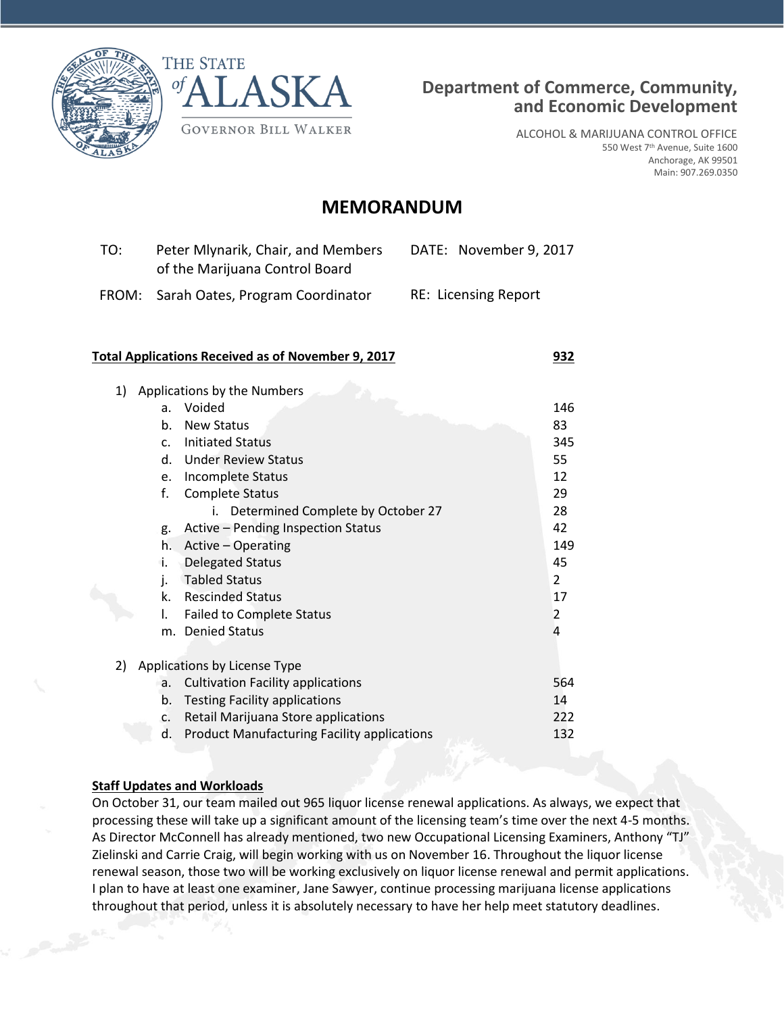



ALCOHOL & MARIJUANA CONTROL OFFICE 550 West 7th Avenue, Suite 1600 Anchorage, AK 99501 Main: 907.269.0350

# **MEMORANDUM**

| TO: | Peter Mlynarik, Chair, and Members<br>of the Marijuana Control Board | DATE: November 9, 2017      |
|-----|----------------------------------------------------------------------|-----------------------------|
|     | FROM: Sarah Oates, Program Coordinator                               | <b>RE: Licensing Report</b> |

#### **Total Applications Received as of November 9, 2017 932**

| Applications by the Numbers  |                                                    |                |
|------------------------------|----------------------------------------------------|----------------|
| a.                           | Voided                                             | 146            |
| b.                           | <b>New Status</b>                                  | 83             |
| C.                           | <b>Initiated Status</b>                            | 345            |
| d.                           | <b>Under Review Status</b>                         | 55             |
| e.                           | Incomplete Status                                  | 12             |
| f.                           | <b>Complete Status</b>                             | 29             |
|                              | Determined Complete by October 27<br>i.            | 28             |
| g.                           | Active – Pending Inspection Status                 | 42             |
| h.                           | Active - Operating                                 | 149            |
| i.                           | <b>Delegated Status</b>                            | 45             |
| i.                           | <b>Tabled Status</b>                               | $\overline{2}$ |
| k.                           | <b>Rescinded Status</b>                            | 17             |
| I.                           | <b>Failed to Complete Status</b>                   | 2              |
| m.                           | <b>Denied Status</b>                               | 4              |
|                              |                                                    |                |
| Applications by License Type |                                                    |                |
| a.                           | <b>Cultivation Facility applications</b>           | 564            |
| b.                           | <b>Testing Facility applications</b>               | 14             |
| c.                           | Retail Marijuana Store applications                | 222            |
| d.                           | <b>Product Manufacturing Facility applications</b> | 132            |
|                              |                                                    |                |

### **Staff Updates and Workloads**

On October 31, our team mailed out 965 liquor license renewal applications. As always, we expect that processing these will take up a significant amount of the licensing team's time over the next 4-5 months. As Director McConnell has already mentioned, two new Occupational Licensing Examiners, Anthony "TJ" Zielinski and Carrie Craig, will begin working with us on November 16. Throughout the liquor license renewal season, those two will be working exclusively on liquor license renewal and permit applications. I plan to have at least one examiner, Jane Sawyer, continue processing marijuana license applications throughout that period, unless it is absolutely necessary to have her help meet statutory deadlines.